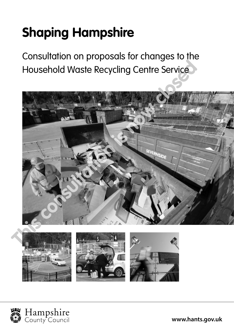# **Shaping Hampshire**

Consultation on proposals for changes to the Household Waste Recycling Centre Service





**www.hants.gov.uk**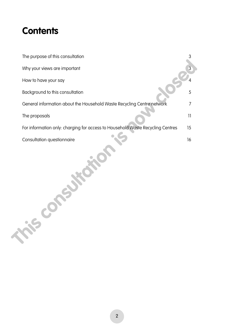### **Contents**

| The purpose of this consultation                                               | 3               |
|--------------------------------------------------------------------------------|-----------------|
| Why your views are important                                                   | 3               |
| How to have your say                                                           |                 |
| Background to this consultation                                                | 5               |
| General information about the Household Waste Recycling Centre network         | 7               |
| The proposals                                                                  | $\overline{11}$ |
| For information only: charging for access to Household Waste Recycling Centres | 15              |
| Consultation questionnaire                                                     | 16              |
| $\sim$                                                                         |                 |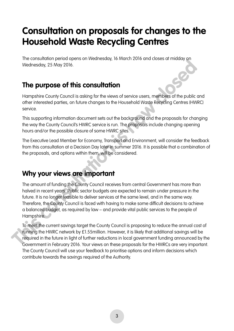### **Consultation on proposals for changes to the Household Waste Recycling Centres**

The consultation period opens on Wednesday, 16 March 2016 and closes at midday on Wednesday, 25 May 2016.

#### **The purpose of this consultation**

Hampshire County Council is asking for the views of service users, members of the public and other interested parties, on future changes to the Household Waste Recycling Centres (HWRC) service.

This supporting information document sets out the background and the proposals for changing the way the County Council's HWRC service is run. The proposals include changing opening hours and/or the possible closure of some HWRC sites.

The Executive Lead Member for Economy, Transport and Environment, will consider the feedback from this consultation at a Decision Day later in summer 2016. It is possible that a combination of the proposals, and options within them, will be considered.

#### **Why your views are important**

The amount of funding the County Council receives from central Government has more than halved in recent years. Public sector budgets are expected to remain under pressure in the future. It is no longer feasible to deliver services at the same level, and in the same way. Therefore, the County Council is faced with having to make some difficult decisions to achieve a balanced budget, as required by law – and provide vital public services to the people of Hampshire. We consultation of tunding the County Council is proposing to reduce the annual consultation<br> **The purpose of this consultation**<br>
Hampshire County Council is asking for the views of service users, members of the public<br>
ot

To meet the current savings target the County Council is proposing to reduce the annual cost of running the HWRC network by £1.55million. However, it is likely that additional savings will be required in the future in light of further reductions in local government funding announced by the Government in February 2016. Your views on these proposals for the HWRCs are very important. The County Council will use your feedback to prioritise options and inform decisions which contribute towards the savings required of the Authority.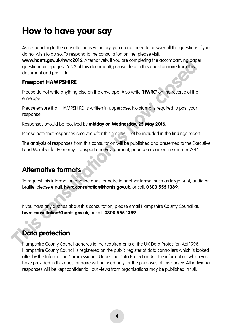### **How to have your say**

As responding to the consultation is voluntary, you do not need to answer all the questions if you do not wish to do so. To respond to the consultation online, please visit:

**www.hants.gov.uk/hwrc2016**. Alternatively, if you are completing the accompanying paper questionnaire (pages 16–22 of this document), please detach this questionnaire from this document and post it to: **The completion of the Consultation Consultation**<br> **The completion of the completion in the completion of the completion in the completion in the develope.<br>
<b>The consultation is document** and positive.<br> **The consultation i** 

#### **Freepost HAMPSHIRE**

Please do not write anything else on the envelope. Also write **'HWRC'** on the reverse of the envelope.

Please ensure that 'HAMPSHIRE' is written in uppercase. No stamp is required to post your response.

Responses should be received by **midday on Wednesday, 25 May 2016**.

Please note that responses received after this time will not be included in the findings report.

The analysis of responses from this consultation will be published and presented to the Executive Lead Member for Economy, Transport and Environment, prior to a decision in summer 2016.

#### **Alternative formats**

To request this information and the questionnaire in another format such as large print, audio or braille, please email: **hwrc.consultation@hants.gov.uk**, or call: **0300 555 1389**.

If you have any queries about this consultation, please email Hampshire County Council at: **hwrc.consultation@hants.gov.uk**, or call: **0300 555 1389**.

### **Data protection**

Hampshire County Council adheres to the requirements of the UK Data Protection Act 1998. Hampshire County Council is registered on the public register of data controllers which is looked after by the Information Commissioner. Under the Data Protection Act the information which you have provided in this questionnaire will be used only for the purposes of this survey. All individual responses will be kept confidential, but views from organisations may be published in full.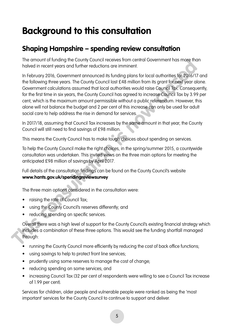### **Background to this consultation**

#### **Shaping Hampshire – spending review consultation**

The amount of funding the County Council receives from central Government has more than halved in recent years and further reductions are imminent.

In February 2016, Government announced its funding plans for local authorities for 2016/17 and the following three years. The County Council lost £48 million from its grant for next year alone. Government calculations assumed that local authorities would raise Council Tax. Consequently, for the first time in six years, the County Council has agreed to increase Council Tax by 3.99 per cent, which is the maximum amount permissible without a public referendum. However, this alone will not balance the budget and 2 per cent of this increase can only be used for adult social care to help address the rise in demand for services. In emount of tunating the County Council esserves form central Government has more the<br>holved in recent years and further reductions are imminent.<br>In February 2016, Government amounced its funding plans for local authoriti

In 2017/18, assuming that Council Tax increases by the same amount in that year, the County Council will still need to find savings of £98 million.

This means the County Council has to make tough choices about spending on services.

To help the County Council make the right choices, in the spring/summer 2015, a countywide consultation was undertaken. This invited views on the three main options for meeting the anticipated £98 million of savings by April 2017.

Full details of the consultation findings can be found on the County Council's website **www.hants.gov.uk/spendingreviewsurvey**

The three main options considered in the consultation were:

- raising the rate of Council Tax;
- using the County Council's reserves differently; and
- reducing spending on specific services.

Overall there was a high level of support for the County Council's existing financial strategy which includes a combination of these three options. This would see the funding shortfall managed through:

- running the County Council more efficiently by reducing the cost of back office functions;
- using savings to help to protect front line services;
- prudently using some reserves to manage the cost of change;
- reducing spending on some services; and
- increasing Council Tax (32 per cent of respondents were willing to see a Council Tax increase of 1.99 per cent).

Services for children, older people and vulnerable people were ranked as being the 'most important' services for the County Council to continue to support and deliver.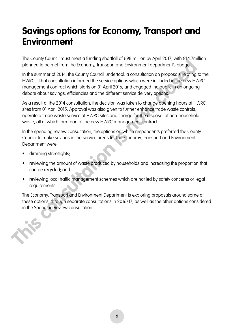### **Savings options for Economy, Transport and Environment**

The County Council must meet a funding shortfall of £98 million by April 2017, with £14.7million planned to be met from the Economy, Transport and Environment department's budget.

In the summer of 2014, the County Council undertook a consultation on proposals relating to the HWRCs. That consultation informed the service options which were included in the new HWRC management contract which starts on 01 April 2016, and engaged the public in an ongoing debate about savings, efficiencies and the different service delivery options.

As a result of the 2014 consultation, the decision was taken to change opening hours at HWRC sites from 01 April 2015. Approval was also given to further enhance trade waste controls, operate a trade waste service at HWRC sites and charge for the disposal of non-household waste, all of which form part of the new HWRC management contract. increasing consultation in the Spending Spending Consultation in the Spending Review consultation in the Spending Review consultation in the Spending HWCS. This consultation in the method of the summer of 2014, the County

In the spending review consultation, the options on which respondents preferred the County Council to make savings in the service areas for the Economy, Transport and Environment Department were:

- dimming streetlights;
- reviewing the amount of waste produced by households and increasing the proportion that can be recycled; and
- reviewing local traffic management schemes which are not led by safety concerns or legal requirements.

The Economy, Transport and Environment Department is exploring proposals around some of these options, through separate consultations in 2016/17, as well as the other options considered

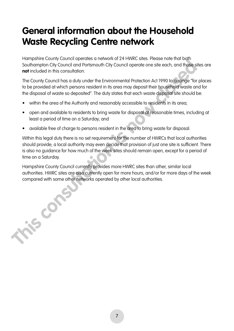### **General information about the Household Waste Recycling Centre network**

Hampshire County Council operates a network of 24 HWRC sites. Please note that both Southampton City Council and Portsmouth City Council operate one site each, and those sites are **not** included in this consultation.

The County Council has a duty under the Environmental Protection Act 1990 to arrange "for places to be provided at which persons resident in its area may deposit their household waste and for the disposal of waste so deposited". The duty states that each waste disposal site should be:

- within the area of the Authority and reasonably accessible to residents in its area;
- open and available to residents to bring waste for disposal at reasonable times, including at least a period of time on a Saturday; and
- available free of charge to persons resident in the area to bring waste for disposal.

Within this legal duty there is no set requirement for the number of HWRCs that local authorities should provide; a local authority may even decide that provision of just one site is sufficient. There is also no guidance for how much of the week sites should remain open, except for a period of time on a Saturday. Francy Counter persons resident and the person of the person of the person of the Council operate on the provided of this consultation.<br>The Council os a duly under the Environmental Protection Act 1990 to arrange "for the

Hampshire County Council currently provides more HWRC sites than other, similar local authorities. HWRC sites are also currently open for more hours, and/or for more days of the week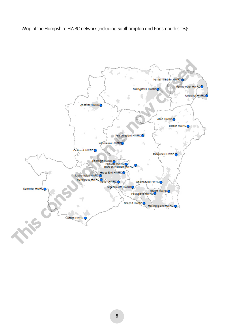Map of the Hampshire HWRC network (including Southampton and Portsmouth sites):

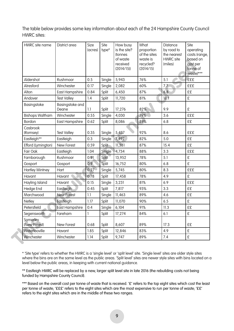The table below provides some key information about each of the 24 Hampshire County Council HWRC sites:

| HWRC site name           | District area            | Size<br>(acres)  | Site<br>type* | How busy<br>is the site?<br><i>(tonnes)</i><br>of waste<br>received<br>(2014/15) | What<br>proportion<br>of the sites<br>waste is<br>recycled?<br>(2014/15) | Distance<br>by road to<br>the nearest<br><b>HWRC</b> site<br>(miles) | Site<br>operating<br>costs (range,<br>based on<br>cost per<br>tonne of<br>waste)*** |
|--------------------------|--------------------------|------------------|---------------|----------------------------------------------------------------------------------|--------------------------------------------------------------------------|----------------------------------------------------------------------|-------------------------------------------------------------------------------------|
| Aldershot                | Rushmoor                 | 0.5              | Single        | 5,943                                                                            | 76%                                                                      | 5.1                                                                  | <b>£££</b>                                                                          |
| Alresford                | Winchester               | 0.17             | Single        | 2,082                                                                            | 60%                                                                      | 7.7                                                                  | <b>£££</b>                                                                          |
| Alton                    | <b>East Hampshire</b>    | 0.84             | Split         | 6,450                                                                            | 87%                                                                      | 6.8                                                                  | ££                                                                                  |
| Andover                  | <b>Test Valley</b>       | 1.4              | Split         | 11,720                                                                           | 81%                                                                      | 18.1                                                                 | £                                                                                   |
| Basingstoke              | Basingstoke and<br>Deane | 1.1              | Split         | 17,276                                                                           | 82%                                                                      | 9.9                                                                  | £                                                                                   |
| <b>Bishops Waltham</b>   | Winchester               | 0.55             | Single        | 4,030                                                                            | 79%                                                                      | 3.6                                                                  | <b>£££</b>                                                                          |
| Bordon                   | <b>East Hampshire</b>    | 0.62             | Split         | 8,086                                                                            | 89%                                                                      | 6.8                                                                  | ££                                                                                  |
| Casbrook<br>(Romsey)     | <b>Test Valley</b>       | 0.35             | Single        | 5,437                                                                            | 92%                                                                      | 8.6                                                                  | <b>£££</b>                                                                          |
| Eastleigh**              | Eastleigh                | 0.3              | Single        | 7,492                                                                            | 82%                                                                      | 5.0                                                                  | ££                                                                                  |
| Efford (Lymington)       | New Forest               | 0.59             | Split         | 11,381                                                                           | 87%                                                                      | 15.4                                                                 | ££                                                                                  |
| Fair Oak                 | Eastleigh                | 1.04             | Single        | 4,734                                                                            | 88%                                                                      | 3.3                                                                  | <b>£££</b>                                                                          |
| Farnborough              | Rushmoor                 | 0.91             | Split         | 13,952                                                                           | 78%                                                                      | 5.1                                                                  | £                                                                                   |
| Gosport                  | Gosport                  | 0.9 <sub>°</sub> | Split         | 16,752                                                                           | 80%                                                                      | 6.8                                                                  | £                                                                                   |
| <b>Hartley Wintney</b>   | Hart                     | $0.27 -$         | Single        | 5,745                                                                            | 80%                                                                      | 8.3                                                                  | £££                                                                                 |
| Havant                   | Havant                   | 0.78             | Split         | 17,458                                                                           | 78%                                                                      | 4.9                                                                  | £                                                                                   |
| Hayling Island           | Havant                   | 0.15             | Single        | 3,231                                                                            | 81%                                                                      | 6.9                                                                  | <b>£££</b>                                                                          |
| Hedge End                | Eastleigh                | 0.45             | Split         | 7,817                                                                            | 93%                                                                      | 3.3                                                                  | ££                                                                                  |
| Marchwood                | <b>New Forest</b>        | 1.1              | Single        | 11,463                                                                           | 89%                                                                      | 4.6                                                                  | ££                                                                                  |
| Netley                   | Eastleigh                | 1.17             | Split         | 11,070                                                                           | 90%                                                                      | 6.5                                                                  | £                                                                                   |
| Petersfield              | <b>East Hampshire</b>    | 0.4              | Single        | 6,104                                                                            | 91%                                                                      | 11.3                                                                 | ££                                                                                  |
| Segensworth              | Fareham                  | 1                | Split         | 17,274                                                                           | 84%                                                                      | 6.1                                                                  | £                                                                                   |
| Somerley<br>(New Forest) | New Forest               | 0.68             | Split         | 8,607                                                                            | 89%                                                                      | 17.3                                                                 | ££                                                                                  |
| Waterlooville            | Havant                   | 1.85             | Split         | 12,846                                                                           | 83%                                                                      | 4.9                                                                  | £                                                                                   |
| Winchester               | Winchester               | 1.14             | Split         | 9,747                                                                            | 89%                                                                      | 7.4                                                                  | £                                                                                   |

\* 'Site type' refers to whether the HWRC is a 'single level' or 'split level' site. 'Single level' sites are older style sites where the bins are on the same level as the public areas. 'Split level' sites are newer style sites with bins located on a level below the public areas, in keeping with current national guidance.

\*\* Eastleigh HWRC will be replaced by a new, larger split level site in late 2016 (the rebuilding costs not being funded by Hampshire County Council).

\*\*\* Based on the overall cost per tonne of waste that is received. '£' refers to the top eight sites which cost the least per tonne of waste; '£££' refers to the eight sites which are the most expensive to run per tonne of waste; '££' refers to the eight sites which are in the middle of these two ranges.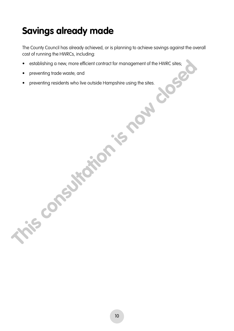# **Savings already made**

The County Council has already achieved, or is planning to achieve savings against the overall cost of running the HWRCs, including:

- establishing a new, more efficient contract for management of the HWRC sites; • establishing a new, more efficient contract for management of the HWRC sites;<br>• preventing trade waste; and<br>• preventing residents who live outside Hampshire using the sites.<br>• **Preventing residents who live outside Hamp** 
	- preventing trade waste; and
	-

10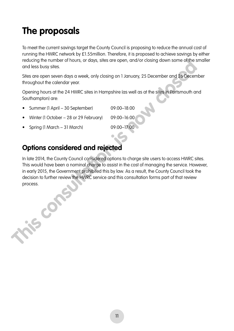# **The proposals**

To meet the current savings target the County Council is proposing to reduce the annual cost of running the HWRC network by £1.55million. Therefore, it is proposed to achieve savings by either reducing the number of hours, or days, sites are open, and/or closing down some of the smaller and less busy sites.

Sites are open seven days a week, only closing on 1 January, 25 December and 26 December throughout the calendar year.

Opening hours at the 24 HWRC sites in Hampshire (as well as at the sites in Portsmouth and Southampton) are:

| • Summer (1 April – 30 September)        | 09:00-18:00 |
|------------------------------------------|-------------|
| • Winter (1 October – 28 or 29 February) | 09:00-16:00 |

• Spring (1 March – 31 March) 09:00–17:00

#### **Options considered and rejected**

In late 2014, the County Council considered options to charge site users to access HWRC sites. This would have been a nominal charge to assist in the cost of managing the service. However, in early 2015, the Government prohibited this by law. As a result, the County Council took the decision to further review the HWRC service and this consultation forms part of that review reducing the number of hours, or days, sites are open, and/or closing down some other state and less busy sites.<br>
Sites are open seven days a week, only closing on 1 January, 25 December and 26 Decembroughout the calendar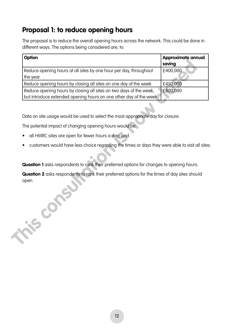#### **Proposal 1: to reduce opening hours**

The proposal is to reduce the overall opening hours across the network. This could be done in different ways. The options being considered are, to:

| Option                                                             | Approximate annual |
|--------------------------------------------------------------------|--------------------|
|                                                                    | saving             |
| Reduce opening hours at all sites by one hour per day, throughout  | £400,000           |
| the year                                                           |                    |
| Reduce opening hours by closing all sites on one day of the week   | £450,000           |
| Reduce opening hours by closing all sites on two days of the week, | £800,000           |
| but introduce extended opening hours on one other day of the week  |                    |

Data on site usage would be used to select the most appropriate day for closure.

The potential impact of changing opening hours would be:

- all HWRC sites are open for fewer hours a day; and
- customers would have less choice regarding the times or days they were able to visit all sites.

**Question 1** asks respondents to rank their preferred options for changes to opening hours.

**Question 2** asks respondents to rank their preferred options for the times of day sites should open.<br>
This consultation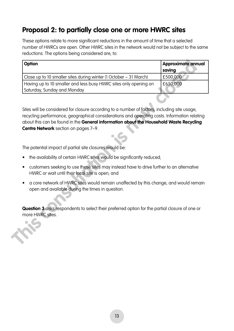#### **Proposal 2: to partially close one or more HWRC sites**

These options relate to more significant reductions in the amount of time that a selected number of HWRCs are open. Other HWRC sites in the network would not be subject to the same reductions. The options being considered are, to:

| Option                                                                                                                                                                                                                                                                                                                         | Approximate annual<br>saving |
|--------------------------------------------------------------------------------------------------------------------------------------------------------------------------------------------------------------------------------------------------------------------------------------------------------------------------------|------------------------------|
| Close up to 10 smaller sites during winter (1 October – 31 March)                                                                                                                                                                                                                                                              | £500,000                     |
| Having up to 10 smaller and less busy HWRC sites only opening on<br>Saturday, Sunday and Monday                                                                                                                                                                                                                                | £650,000                     |
| Sites will be considered for closure according to a number of factors, including site usage,<br>recycling performance, geographical considerations and operating costs. Information relating<br>about this can be found in the General information about the Household Waste Recycling<br>Centre Network section on pages 7-9. |                              |
| The potential impact of partial site closures would be:                                                                                                                                                                                                                                                                        |                              |
| the availability of certain HWRC sites would be significantly reduced;                                                                                                                                                                                                                                                         |                              |
| customers seeking to use these sites may instead have to drive further to an alternative<br>$\bullet$<br>HWRC or wait until their local site is open; and                                                                                                                                                                      |                              |
| a core network of HWRC sites would remain unaffected by this change, and would remain<br>open and available during the times in question.                                                                                                                                                                                      |                              |
| Question 3 asks respondents to select their preferred option for the partial closure of one or<br>more HWRC sites.                                                                                                                                                                                                             |                              |

- the availability of certain HWRC sites would be significantly reduced;
- customers seeking to use these sites may instead have to drive further to an alternative HWRC or wait until their local site is open; and
- a core network of HWRC sites would remain unaffected by this change, and would remain open and available during the times in question.

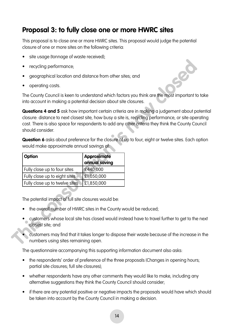#### **Proposal 3: to fully close one or more HWRC sites**

This proposal is to close one or more HWRC sites. This proposal would judge the potential closure of one or more sites on the following criteria:

- site usage (tonnage of waste received);
- recycling performance;
- geographical location and distance from other sites; and
- operating costs.

The County Council is keen to understand which factors you think are the most important to take into account in making a potential decision about site closures.

**Questions 4 and 5** ask how important certain criteria are in making a judgement about potential closure: distance to next closest site, how busy a site is, recycling performance, or site operating cost. There is also space for respondents to add any other criteria they think the County Council should consider. • recycling performance,<br>
• geographical location and distance from other sites, and<br>
• operating costs.<br>
The County Council is keen to understand which factors you think are the most important<br>
into account in moking a po

**Question 6** asks about preference for the closure of up to four, eight or twelve sites. Each option would make approximate annual savings of:

| Option                         | <b>Approximate</b><br>annual saving |
|--------------------------------|-------------------------------------|
| Fully close up to four sites   | £440,000                            |
| Fully close up to eight sites  | £1,050,000                          |
| Fully close up to twelve sites | £1,850,000                          |

The potential impact of full site closures would be:

- the overall number of HWRC sites in the County would be reduced;
- customers whose local site has closed would instead have to travel further to get to the next closest site; and
	- customers may find that it takes longer to dispose their waste because of the increase in the numbers using sites remaining open.

The questionnaire accompanying this supporting information document also asks:

- the respondents' order of preference of the three proposals (Changes in opening hours; partial site closures; full site closures);
- whether respondents have any other comments they would like to make, including any alternative suggestions they think the County Council should consider;
- if there are any potential positive or negative impacts the proposals would have which should be taken into account by the County Council in making a decision.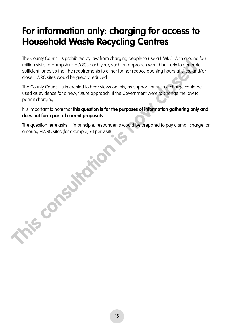### **For information only: charging for access to Household Waste Recycling Centres**

The County Council is prohibited by law from charging people to use a HWRC. With around four million visits to Hampshire HWRCs each year, such an approach would be likely to generate sufficient funds so that the requirements to either further reduce opening hours at sites, and/or close HWRC sites would be greatly reduced.

The County Council is interested to hear views on this, as support for such a charge could be used as evidence for a new, future approach, if the Government were to change the law to permit charging.

It is important to note that **this question is for the purposes of information gathering only and does not form part of current proposals**.

The question here asks if, in principle, respondents would be prepared to pay a small charge for entering HWRC sites (for example, £1 per visit).<br> **This consultation is now consultation in the consultation is now consultation in the consultation is now consultation in the consultation is now consultation in the consul**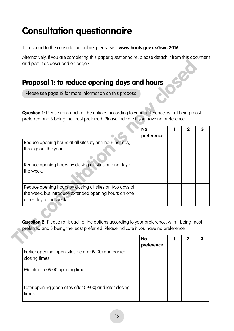### **Consultation questionnaire**

To respond to the consultation online, please visit **www.hants.gov.uk/hwrc2016**

Alternatively, if you are completing this paper questionnaire, please detach it from this document and post it as described on page 4.

#### **Proposal 1: to reduce opening days and hours**

| Please see page 12 for more information on this proposal                                    |            |             |  |
|---------------------------------------------------------------------------------------------|------------|-------------|--|
|                                                                                             |            |             |  |
| Question 1: Please rank each of the options according to your preference, with 1 being most |            |             |  |
| preferred and 3 being the least preferred. Please indicate if you have no preference.       |            |             |  |
|                                                                                             | <b>No</b>  | $\mathbf 2$ |  |
|                                                                                             | preference |             |  |
| Reduce opening hours at all sites by one hour per day,<br>throughout the year.              |            |             |  |
|                                                                                             |            |             |  |
| Reduce opening hours by closing all sites on one day of                                     |            |             |  |
| the week.                                                                                   |            |             |  |
| Reduce opening hours by closing all sites on two days of                                    |            |             |  |
| the week, but introduce extended opening hours on one                                       |            |             |  |
| other day of the week.                                                                      |            |             |  |
|                                                                                             |            |             |  |
|                                                                                             |            |             |  |

|                                                                        | <b>No</b><br>preference | 2 |  |
|------------------------------------------------------------------------|-------------------------|---|--|
| Earlier opening (open sites before 09:00) and earlier<br>closing times |                         |   |  |
| Maintain a 09:00 opening time                                          |                         |   |  |
| Later opening (open sites after 09:00) and later closing<br>times      |                         |   |  |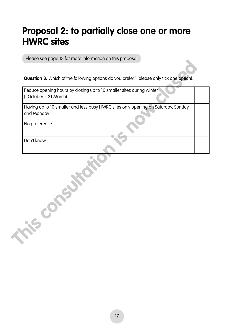### **Proposal 2: to partially close one or more HWRC sites**

Please see page 13 for more information on this proposal

**Question 3:** Which of the following options do you prefer? (please only tick one option):

Reduce opening hours by closing up to 10 smaller sites during winter (1 October – 31 March) Having up to 10 smaller and less busy HWRC sites only opening on Saturday, Sunday and Monday No preference Don't know **The Consultation is not consultation**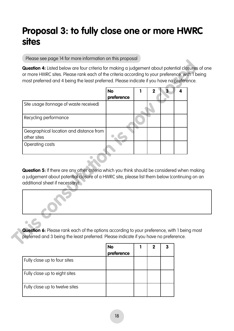### **Proposal 3: to fully close one or more HWRC sites**

Please see page 14 for more information on this proposal

**Question 4:** Listed below are four criteria for making a judgement about potential closures of one or more HWRC sites. Please rank each of the criteria according to your preference, with 1 being most preferred and 4 being the least preferred. Please indicate if you have no preference.

|                                                                                                                              | <b>No</b><br>preference | 1 | $\overline{2}$ | $\overline{\mathbf{3}}$ | 4 |
|------------------------------------------------------------------------------------------------------------------------------|-------------------------|---|----------------|-------------------------|---|
| Site usage (tonnage of waste received)                                                                                       |                         |   |                |                         |   |
| Recycling performance                                                                                                        |                         |   |                |                         |   |
| Geographical location and distance from<br>other sites                                                                       |                         |   |                |                         |   |
| Operating costs                                                                                                              |                         |   |                |                         |   |
| Question 5: If there are any other criteria which you think should be considered when mak                                    |                         |   |                |                         |   |
| a judgement about potential closure of a HWRC site, please list them below (continuing on<br>additional sheet if necessary): |                         |   |                |                         |   |

|                                | <b>No</b><br>preference | 2 |  |
|--------------------------------|-------------------------|---|--|
| Fully close up to four sites   |                         |   |  |
| Fully close up to eight sites  |                         |   |  |
| Fully close up to twelve sites |                         |   |  |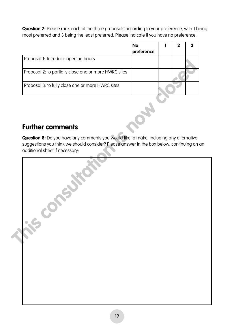**Question 7:** Please rank each of the three proposals according to your preference, with 1 being most preferred and 3 being the least preferred. Please indicate if you have no preference.

|                                                       | <b>No</b><br>preference | 2 |  |
|-------------------------------------------------------|-------------------------|---|--|
| Proposal 1: To reduce opening hours                   |                         |   |  |
| Proposal 2: to partially close one or more HWRC sites |                         |   |  |
| Proposal 3: to fully close one or more HWRC sites     |                         |   |  |

#### **Further comments**

| Proposal 2: to partially close one or more HWRC sites<br>Proposal 3: to fully close one or more HWRC sites                                                                                                             |  |
|------------------------------------------------------------------------------------------------------------------------------------------------------------------------------------------------------------------------|--|
|                                                                                                                                                                                                                        |  |
|                                                                                                                                                                                                                        |  |
| <b>Further comments</b>                                                                                                                                                                                                |  |
| Question 8: Do you have any comments you would like to make, including any alternative<br>suggestions you think we should consider? Please answer in the box below, continuing on an<br>additional sheet if necessary: |  |
| $\mathcal{C}$                                                                                                                                                                                                          |  |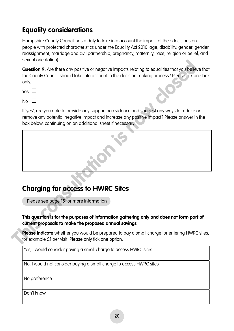### **Equality considerations**

Hampshire County Council has a duty to take into account the impact of their decisions on people with protected characteristics under the Equality Act 2010 (age, disability, gender, gender reassignment, marriage and civil partnership, pregnancy, maternity, race, religion or belief, and sexual orientation).

**Question 9:** Are there any positive or negative impacts relating to equalities that you believe that the County Council should take into account in the decision making process? Please tick one box only. Sexual ofentions **The Constraint Constraint Constraint** and the County Council should take into account in the decision making process? Please lick or<br>the County Council should take into account in the decision making pro

 $No$ 

If 'yes', are you able to provide any supporting evidence and suggest any ways to reduce or remove any potential negative impact and increase any positive impact? Please answer in the box below, continuing on an additional sheet if necessary:

#### **Charging for access to HWRC Sites**

Please see page 15 for more information

#### **This question is for the purposes of information gathering only and does not form part of current proposals to make the proposed annual savings**

**Please indicate** whether you would be prepared to pay a small charge for entering HWRC sites, for example £1 per visit. Please only tick one option:

| Yes, I would consider paying a small charge to access HWRC sites    |  |
|---------------------------------------------------------------------|--|
| No, I would not consider paying a small charge to access HWRC sites |  |
| No preference                                                       |  |
| Don't know                                                          |  |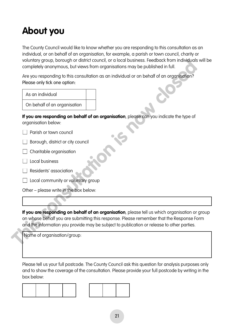# **About you**

The County Council would like to know whether you are responding to this consultation as an individual, or on behalf of an organisation, for example, a parish or town council, charity or voluntary group, borough or district council, or a local business. Feedback from individuals will be completely anonymous, but views from organisations may be published in full.

Are you responding to this consultation as an individual or on behalf of an organisation? Please only tick one option:

| As an individual             |  |
|------------------------------|--|
| On behalf of an organisation |  |

**If you are responding on behalf of an organisation**, please can you indicate the type of organisation below:

- $\Box$  Parish or town council
- $\Box$  Borough, district or city council
- $\Box$  Charitable organisation
- $\Box$  Local business
- $\Box$  Residents' association
- $\Box$  Local community or voluntary group

Other – please write in the box below:

**If you are responding on behalf of an organisation**, please tell us which organisation or group on whose behalf you are submitting this response. Please remember that the Response Form and the information you provide may be subject to publication or release to other parties. voluting y group, borough or district council, or a local business: Feedback from individual<br>
completely anonymous, but views from organisations may be published in full.<br>
Are you responding to this consultation as an ind

Name of organisation/group:

Please tell us your full postcode. The County Council ask this question for analysis purposes only and to show the coverage of the consultation. Please provide your full postcode by writing in the box below: